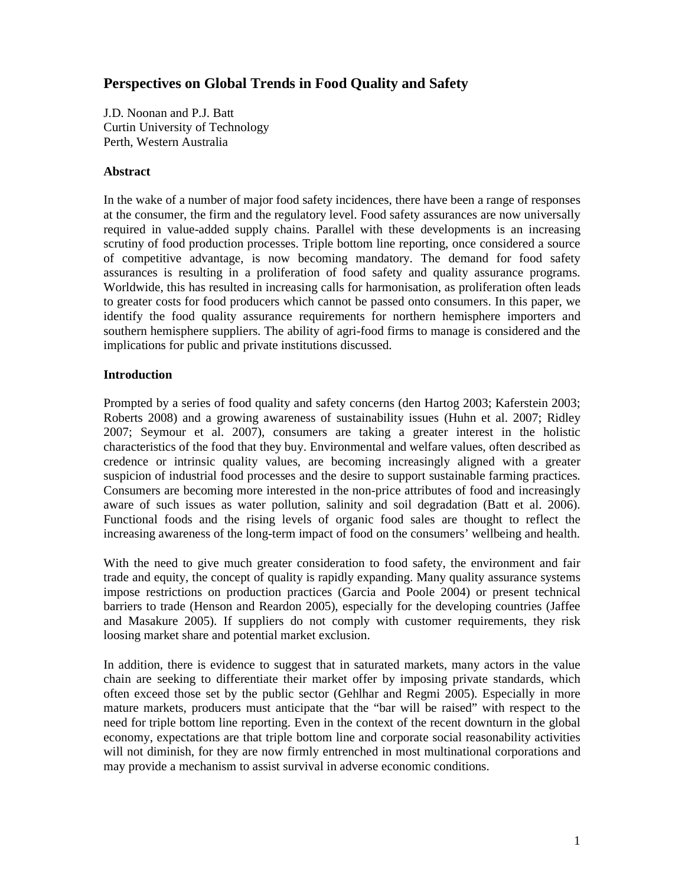# **Perspectives on Global Trends in Food Quality and Safety**

J.D. Noonan and P.J. Batt Curtin University of Technology Perth, Western Australia

# **Abstract**

In the wake of a number of major food safety incidences, there have been a range of responses at the consumer, the firm and the regulatory level. Food safety assurances are now universally required in value-added supply chains. Parallel with these developments is an increasing scrutiny of food production processes. Triple bottom line reporting, once considered a source of competitive advantage, is now becoming mandatory. The demand for food safety assurances is resulting in a proliferation of food safety and quality assurance programs. Worldwide, this has resulted in increasing calls for harmonisation, as proliferation often leads to greater costs for food producers which cannot be passed onto consumers. In this paper, we identify the food quality assurance requirements for northern hemisphere importers and southern hemisphere suppliers. The ability of agri-food firms to manage is considered and the implications for public and private institutions discussed.

# **Introduction**

Prompted by a series of food quality and safety concerns (den Hartog 2003; Kaferstein 2003; Roberts 2008) and a growing awareness of sustainability issues (Huhn et al. 2007; Ridley 2007; Seymour et al. 2007), consumers are taking a greater interest in the holistic characteristics of the food that they buy. Environmental and welfare values, often described as credence or intrinsic quality values, are becoming increasingly aligned with a greater suspicion of industrial food processes and the desire to support sustainable farming practices. Consumers are becoming more interested in the non-price attributes of food and increasingly aware of such issues as water pollution, salinity and soil degradation (Batt et al. 2006). Functional foods and the rising levels of organic food sales are thought to reflect the increasing awareness of the long-term impact of food on the consumers' wellbeing and health.

With the need to give much greater consideration to food safety, the environment and fair trade and equity, the concept of quality is rapidly expanding. Many quality assurance systems impose restrictions on production practices (Garcia and Poole 2004) or present technical barriers to trade (Henson and Reardon 2005), especially for the developing countries (Jaffee and Masakure 2005). If suppliers do not comply with customer requirements, they risk loosing market share and potential market exclusion.

In addition, there is evidence to suggest that in saturated markets, many actors in the value chain are seeking to differentiate their market offer by imposing private standards, which often exceed those set by the public sector (Gehlhar and Regmi 2005). Especially in more mature markets, producers must anticipate that the "bar will be raised" with respect to the need for triple bottom line reporting. Even in the context of the recent downturn in the global economy, expectations are that triple bottom line and corporate social reasonability activities will not diminish, for they are now firmly entrenched in most multinational corporations and may provide a mechanism to assist survival in adverse economic conditions.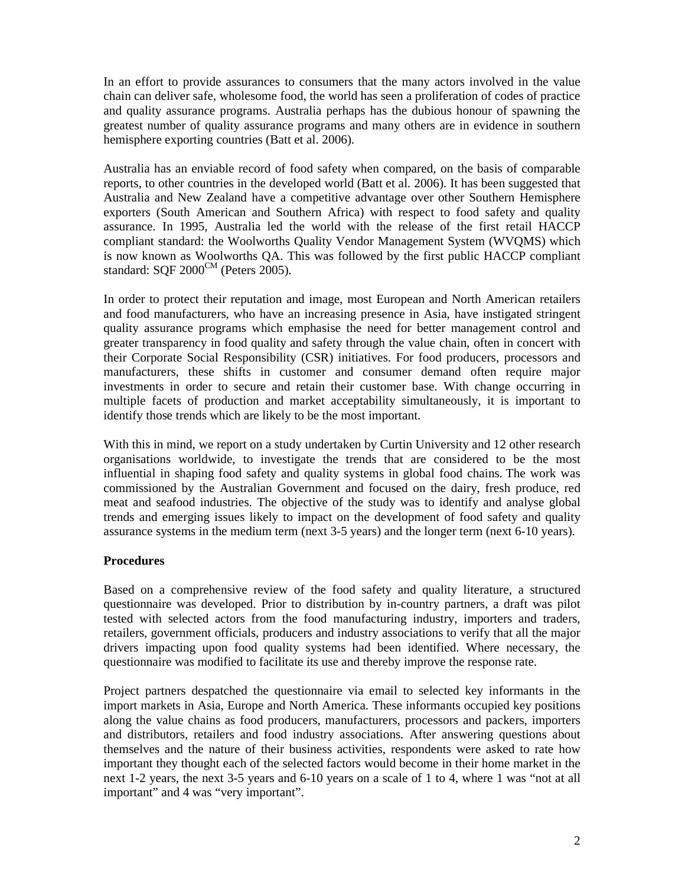In an effort to provide assurances to consumers that the many actors involved in the value chain can deliver safe, wholesome food, the world has seen a proliferation of codes of practice and quality assurance programs. Australia perhaps has the dubious honour of spawning the greatest number of quality assurance programs and many others are in evidence in southern hemisphere exporting countries (Batt et al. 2006).

Australia has an enviable record of food safety when compared, on the basis of comparable reports, to other countries in the developed world (Batt et al. 2006). It has been suggested that Australia and New Zealand have a competitive advantage over other Southern Hemisphere exporters (South American and Southern Africa) with respect to food safety and quality assurance. In 1995, Australia led the world with the release of the first retail HACCP compliant standard: the Woolworths Quality Vendor Management System (WVQMS) which is now known as Woolworths QA. This was followed by the first public HACCP compliant standard: SQF  $2000^{\text{CM}}$  (Peters 2005).

In order to protect their reputation and image, most European and North American retailers and food manufacturers, who have an increasing presence in Asia, have instigated stringent quality assurance programs which emphasise the need for better management control and greater transparency in food quality and safety through the value chain, often in concert with their Corporate Social Responsibility (CSR) initiatives. For food producers, processors and manufacturers, these shifts in customer and consumer demand often require major investments in order to secure and retain their customer base. With change occurring in multiple facets of production and market acceptability simultaneously, it is important to identify those trends which are likely to be the most important.

With this in mind, we report on a study undertaken by Curtin University and 12 other research organisations worldwide, to investigate the trends that are considered to be the most influential in shaping food safety and quality systems in global food chains. The work was commissioned by the Australian Government and focused on the dairy, fresh produce, red meat and seafood industries. The objective of the study was to identify and analyse global trends and emerging issues likely to impact on the development of food safety and quality assurance systems in the medium term (next 3-5 years) and the longer term (next 6-10 years).

#### **Procedures**

Based on a comprehensive review of the food safety and quality literature, a structured questionnaire was developed. Prior to distribution by in-country partners, a draft was pilot tested with selected actors from the food manufacturing industry, importers and traders, retailers, government officials, producers and industry associations to verify that all the major drivers impacting upon food quality systems had been identified. Where necessary, the questionnaire was modified to facilitate its use and thereby improve the response rate.

Project partners despatched the questionnaire via email to selected key informants in the import markets in Asia, Europe and North America. These informants occupied key positions along the value chains as food producers, manufacturers, processors and packers, importers and distributors, retailers and food industry associations. After answering questions about themselves and the nature of their business activities, respondents were asked to rate how important they thought each of the selected factors would become in their home market in the next 1-2 years, the next 3-5 years and 6-10 years on a scale of 1 to 4, where 1 was "not at all important" and 4 was "very important".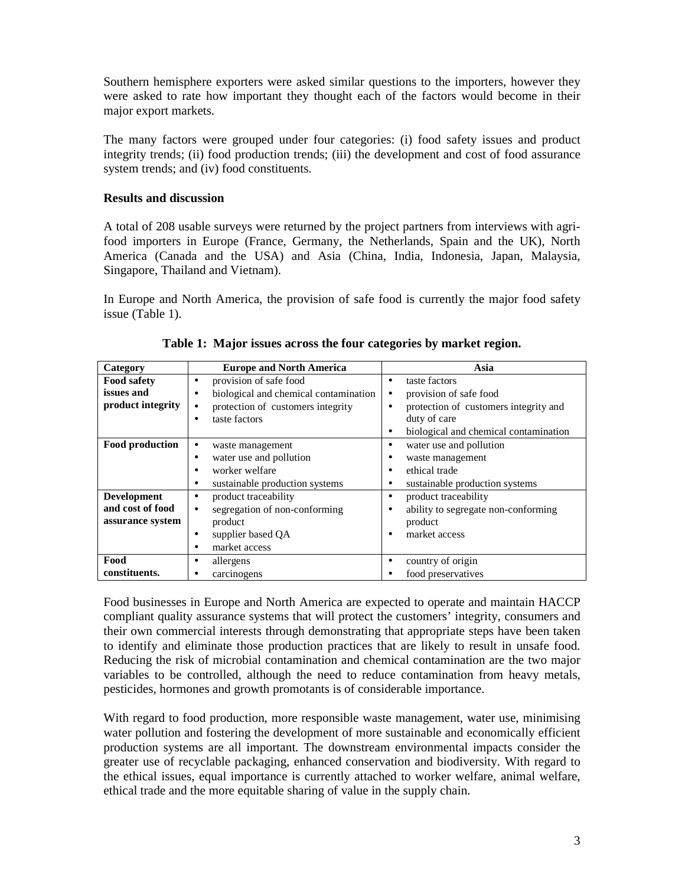Southern hemisphere exporters were asked similar questions to the importers, however they were asked to rate how important they thought each of the factors would become in their major export markets.

The many factors were grouped under four categories: (i) food safety issues and product integrity trends; (ii) food production trends; (iii) the development and cost of food assurance system trends; and (iv) food constituents.

## **Results and discussion**

A total of 208 usable surveys were returned by the project partners from interviews with agrifood importers in Europe (France, Germany, the Netherlands, Spain and the UK), North America (Canada and the USA) and Asia (China, India, Indonesia, Japan, Malaysia, Singapore, Thailand and Vietnam).

In Europe and North America, the provision of safe food is currently the major food safety issue (Table 1).

| Category           | <b>Europe and North America</b>       | Asia                                               |  |  |
|--------------------|---------------------------------------|----------------------------------------------------|--|--|
| <b>Food safety</b> | provision of safe food<br>٠           | taste factors<br>٠                                 |  |  |
| issues and         | biological and chemical contamination | provision of safe food                             |  |  |
| product integrity  | protection of customers integrity     | protection of customers integrity and<br>٠         |  |  |
|                    | taste factors                         | duty of care                                       |  |  |
|                    |                                       | biological and chemical contamination<br>$\bullet$ |  |  |
| Food production    | waste management                      | water use and pollution<br>٠                       |  |  |
|                    | water use and pollution               | waste management                                   |  |  |
|                    | worker welfare                        | ethical trade<br>٠                                 |  |  |
|                    | sustainable production systems<br>٠   | sustainable production systems<br>٠                |  |  |
| <b>Development</b> | product traceability                  | product traceability<br>٠                          |  |  |
| and cost of food   | segregation of non-conforming         | ability to segregate non-conforming<br>٠           |  |  |
| assurance system   | product                               | product                                            |  |  |
|                    | supplier based QA                     | market access<br>٠                                 |  |  |
|                    | market access                         |                                                    |  |  |
| Food               | allergens                             | country of origin<br>٠                             |  |  |
| constituents.      | carcinogens                           | food preservatives                                 |  |  |

**Table 1: Major issues across the four categories by market region.** 

Food businesses in Europe and North America are expected to operate and maintain HACCP compliant quality assurance systems that will protect the customers' integrity, consumers and their own commercial interests through demonstrating that appropriate steps have been taken to identify and eliminate those production practices that are likely to result in unsafe food. Reducing the risk of microbial contamination and chemical contamination are the two major variables to be controlled, although the need to reduce contamination from heavy metals, pesticides, hormones and growth promotants is of considerable importance.

With regard to food production, more responsible waste management, water use, minimising water pollution and fostering the development of more sustainable and economically efficient production systems are all important. The downstream environmental impacts consider the greater use of recyclable packaging, enhanced conservation and biodiversity. With regard to the ethical issues, equal importance is currently attached to worker welfare, animal welfare, ethical trade and the more equitable sharing of value in the supply chain.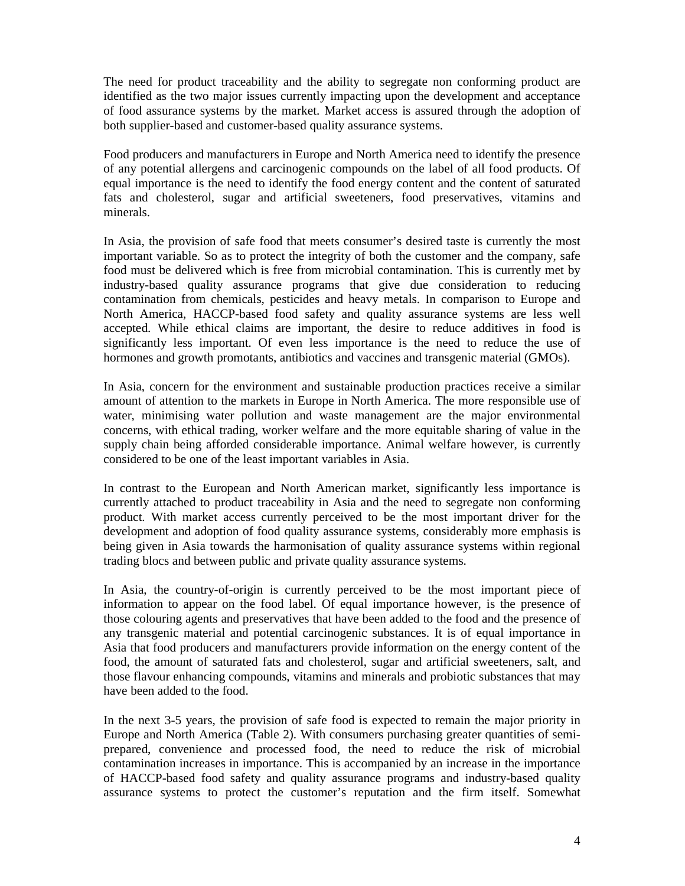The need for product traceability and the ability to segregate non conforming product are identified as the two major issues currently impacting upon the development and acceptance of food assurance systems by the market. Market access is assured through the adoption of both supplier-based and customer-based quality assurance systems.

Food producers and manufacturers in Europe and North America need to identify the presence of any potential allergens and carcinogenic compounds on the label of all food products. Of equal importance is the need to identify the food energy content and the content of saturated fats and cholesterol, sugar and artificial sweeteners, food preservatives, vitamins and minerals.

In Asia, the provision of safe food that meets consumer's desired taste is currently the most important variable. So as to protect the integrity of both the customer and the company, safe food must be delivered which is free from microbial contamination. This is currently met by industry-based quality assurance programs that give due consideration to reducing contamination from chemicals, pesticides and heavy metals. In comparison to Europe and North America, HACCP-based food safety and quality assurance systems are less well accepted. While ethical claims are important, the desire to reduce additives in food is significantly less important. Of even less importance is the need to reduce the use of hormones and growth promotants, antibiotics and vaccines and transgenic material (GMOs).

In Asia, concern for the environment and sustainable production practices receive a similar amount of attention to the markets in Europe in North America. The more responsible use of water, minimising water pollution and waste management are the major environmental concerns, with ethical trading, worker welfare and the more equitable sharing of value in the supply chain being afforded considerable importance. Animal welfare however, is currently considered to be one of the least important variables in Asia.

In contrast to the European and North American market, significantly less importance is currently attached to product traceability in Asia and the need to segregate non conforming product. With market access currently perceived to be the most important driver for the development and adoption of food quality assurance systems, considerably more emphasis is being given in Asia towards the harmonisation of quality assurance systems within regional trading blocs and between public and private quality assurance systems.

In Asia, the country-of-origin is currently perceived to be the most important piece of information to appear on the food label. Of equal importance however, is the presence of those colouring agents and preservatives that have been added to the food and the presence of any transgenic material and potential carcinogenic substances. It is of equal importance in Asia that food producers and manufacturers provide information on the energy content of the food, the amount of saturated fats and cholesterol, sugar and artificial sweeteners, salt, and those flavour enhancing compounds, vitamins and minerals and probiotic substances that may have been added to the food.

In the next 3-5 years, the provision of safe food is expected to remain the major priority in Europe and North America (Table 2). With consumers purchasing greater quantities of semiprepared, convenience and processed food, the need to reduce the risk of microbial contamination increases in importance. This is accompanied by an increase in the importance of HACCP-based food safety and quality assurance programs and industry-based quality assurance systems to protect the customer's reputation and the firm itself. Somewhat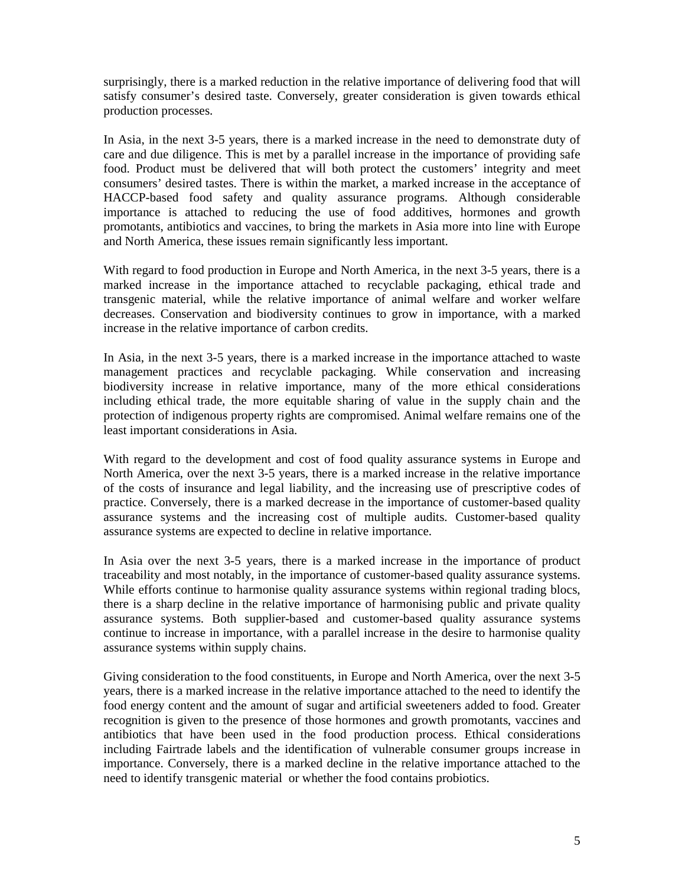surprisingly, there is a marked reduction in the relative importance of delivering food that will satisfy consumer's desired taste. Conversely, greater consideration is given towards ethical production processes.

In Asia, in the next 3-5 years, there is a marked increase in the need to demonstrate duty of care and due diligence. This is met by a parallel increase in the importance of providing safe food. Product must be delivered that will both protect the customers' integrity and meet consumers' desired tastes. There is within the market, a marked increase in the acceptance of HACCP-based food safety and quality assurance programs. Although considerable importance is attached to reducing the use of food additives, hormones and growth promotants, antibiotics and vaccines, to bring the markets in Asia more into line with Europe and North America, these issues remain significantly less important.

With regard to food production in Europe and North America, in the next 3-5 years, there is a marked increase in the importance attached to recyclable packaging, ethical trade and transgenic material, while the relative importance of animal welfare and worker welfare decreases. Conservation and biodiversity continues to grow in importance, with a marked increase in the relative importance of carbon credits.

In Asia, in the next 3-5 years, there is a marked increase in the importance attached to waste management practices and recyclable packaging. While conservation and increasing biodiversity increase in relative importance, many of the more ethical considerations including ethical trade, the more equitable sharing of value in the supply chain and the protection of indigenous property rights are compromised. Animal welfare remains one of the least important considerations in Asia.

With regard to the development and cost of food quality assurance systems in Europe and North America, over the next 3-5 years, there is a marked increase in the relative importance of the costs of insurance and legal liability, and the increasing use of prescriptive codes of practice. Conversely, there is a marked decrease in the importance of customer-based quality assurance systems and the increasing cost of multiple audits. Customer-based quality assurance systems are expected to decline in relative importance.

In Asia over the next 3-5 years, there is a marked increase in the importance of product traceability and most notably, in the importance of customer-based quality assurance systems. While efforts continue to harmonise quality assurance systems within regional trading blocs, there is a sharp decline in the relative importance of harmonising public and private quality assurance systems. Both supplier-based and customer-based quality assurance systems continue to increase in importance, with a parallel increase in the desire to harmonise quality assurance systems within supply chains.

Giving consideration to the food constituents, in Europe and North America, over the next 3-5 years, there is a marked increase in the relative importance attached to the need to identify the food energy content and the amount of sugar and artificial sweeteners added to food. Greater recognition is given to the presence of those hormones and growth promotants, vaccines and antibiotics that have been used in the food production process. Ethical considerations including Fairtrade labels and the identification of vulnerable consumer groups increase in importance. Conversely, there is a marked decline in the relative importance attached to the need to identify transgenic material or whether the food contains probiotics.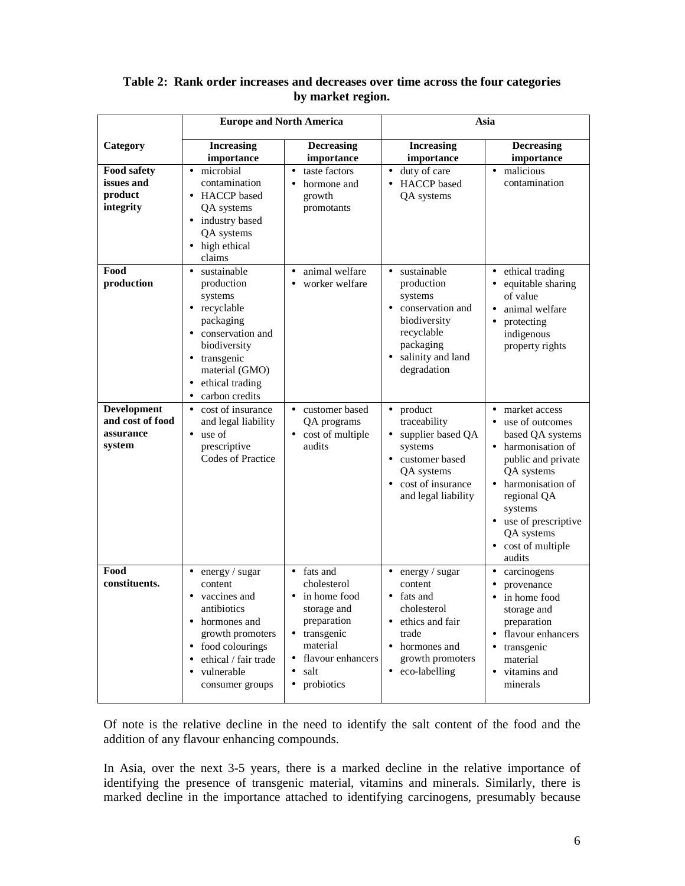|                                                               | <b>Europe and North America</b>                                                                                                                                                                                       |                                                                                                                                                                                       | Asia                                                                                                                                                                       |                                                                                                                                                                                                                                       |
|---------------------------------------------------------------|-----------------------------------------------------------------------------------------------------------------------------------------------------------------------------------------------------------------------|---------------------------------------------------------------------------------------------------------------------------------------------------------------------------------------|----------------------------------------------------------------------------------------------------------------------------------------------------------------------------|---------------------------------------------------------------------------------------------------------------------------------------------------------------------------------------------------------------------------------------|
| Category                                                      | <b>Increasing</b><br>importance                                                                                                                                                                                       | <b>Decreasing</b><br>importance                                                                                                                                                       | <b>Increasing</b><br>importance                                                                                                                                            | <b>Decreasing</b><br>importance                                                                                                                                                                                                       |
| <b>Food safety</b><br>issues and<br>product<br>integrity      | • microbial<br>contamination<br>• HACCP based<br>QA systems<br>· industry based<br>QA systems<br>• high ethical<br>claims                                                                                             | taste factors<br>$\bullet$<br>hormone and<br>$\bullet$<br>growth<br>promotants                                                                                                        | • duty of care<br>• HACCP based<br>QA systems                                                                                                                              | malicious<br>$\bullet$<br>contamination                                                                                                                                                                                               |
| Food<br>production                                            | sustainable<br>$\bullet$<br>production<br>systems<br>• recyclable<br>packaging<br>• conservation and<br>biodiversity<br>· transgenic<br>material (GMO)<br>ethical trading<br>$\bullet$<br>carbon credits<br>$\bullet$ | animal welfare<br>$\bullet$<br>worker welfare<br>$\bullet$                                                                                                                            | sustainable<br>$\bullet$<br>production<br>systems<br>• conservation and<br>biodiversity<br>recyclable<br>packaging<br>salinity and land<br>$\bullet$<br>degradation        | ethical trading<br>$\bullet$<br>equitable sharing<br>$\bullet$<br>of value<br>animal welfare<br>$\bullet$<br>protecting<br>$\bullet$<br>indigenous<br>property rights                                                                 |
| <b>Development</b><br>and cost of food<br>assurance<br>system | cost of insurance<br>$\bullet$<br>and legal liability<br>$\bullet$ use of<br>prescriptive<br><b>Codes of Practice</b>                                                                                                 | customer based<br>$\bullet$<br>QA programs<br>• cost of multiple<br>audits                                                                                                            | product<br>$\bullet$<br>traceability<br>supplier based QA<br>$\bullet$<br>systems<br>customer based<br>$\bullet$<br>QA systems<br>cost of insurance<br>and legal liability | market access<br>use of outcomes<br>based QA systems<br>• harmonisation of<br>public and private<br>QA systems<br>• harmonisation of<br>regional QA<br>systems<br>• use of prescriptive<br>QA systems<br>• cost of multiple<br>audits |
| Food<br>constituents.                                         | energy / sugar<br>$\bullet$<br>content<br>• vaccines and<br>antibiotics<br>• hormones and<br>growth promoters<br>food colourings<br>ethical / fair trade<br>$\bullet$<br>vulnerable<br>$\bullet$<br>consumer groups   | fats and<br>$\bullet$<br>cholesterol<br>• in home food<br>storage and<br>preparation<br>• transgenic<br>material<br>flavour enhancers<br>$\bullet$<br>salt<br>probiotics<br>$\bullet$ | energy / sugar<br>$\bullet$<br>content<br>• fats and<br>cholesterol<br>• ethics and fair<br>trade<br>hormones and<br>growth promoters<br>eco-labelling<br>$\bullet$        | carcinogens<br>$\bullet$<br>provenance<br>in home food<br>$\bullet$<br>storage and<br>preparation<br>• flavour enhancers<br>transgenic<br>material<br>vitamins and<br>minerals                                                        |

# **Table 2: Rank order increases and decreases over time across the four categories by market region.**

Of note is the relative decline in the need to identify the salt content of the food and the addition of any flavour enhancing compounds.

In Asia, over the next 3-5 years, there is a marked decline in the relative importance of identifying the presence of transgenic material, vitamins and minerals. Similarly, there is marked decline in the importance attached to identifying carcinogens, presumably because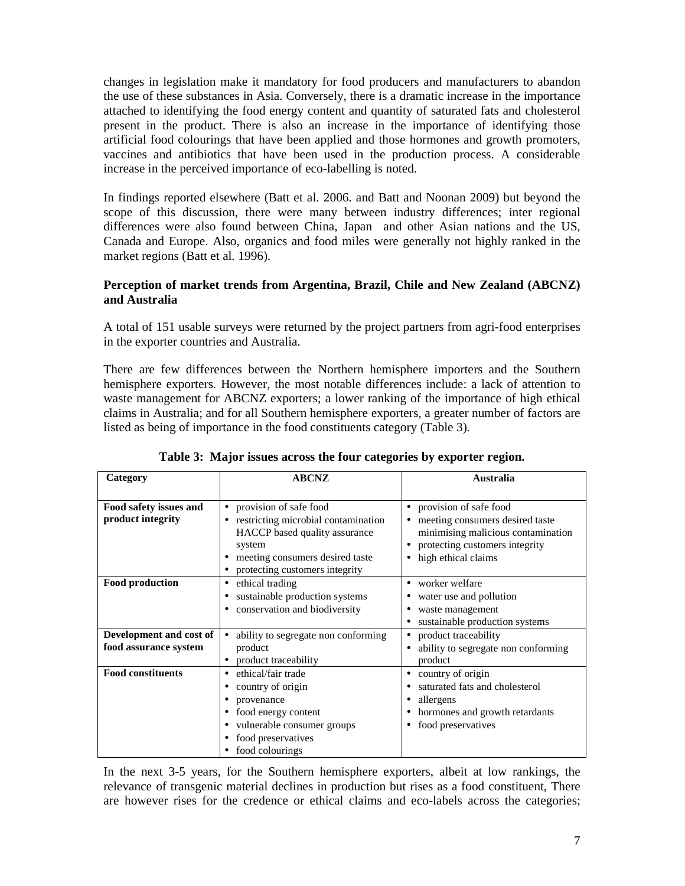changes in legislation make it mandatory for food producers and manufacturers to abandon the use of these substances in Asia. Conversely, there is a dramatic increase in the importance attached to identifying the food energy content and quantity of saturated fats and cholesterol present in the product. There is also an increase in the importance of identifying those artificial food colourings that have been applied and those hormones and growth promoters, vaccines and antibiotics that have been used in the production process. A considerable increase in the perceived importance of eco-labelling is noted.

In findings reported elsewhere (Batt et al. 2006. and Batt and Noonan 2009) but beyond the scope of this discussion, there were many between industry differences; inter regional differences were also found between China, Japan and other Asian nations and the US, Canada and Europe. Also, organics and food miles were generally not highly ranked in the market regions (Batt et al. 1996).

# **Perception of market trends from Argentina, Brazil, Chile and New Zealand (ABCNZ) and Australia**

A total of 151 usable surveys were returned by the project partners from agri-food enterprises in the exporter countries and Australia.

There are few differences between the Northern hemisphere importers and the Southern hemisphere exporters. However, the most notable differences include: a lack of attention to waste management for ABCNZ exporters; a lower ranking of the importance of high ethical claims in Australia; and for all Southern hemisphere exporters, a greater number of factors are listed as being of importance in the food constituents category (Table 3).

| Category                                         | <b>ABCNZ</b>                                                                                                                                                                      | Australia                                                                                                                                                                          |
|--------------------------------------------------|-----------------------------------------------------------------------------------------------------------------------------------------------------------------------------------|------------------------------------------------------------------------------------------------------------------------------------------------------------------------------------|
| Food safety issues and<br>product integrity      | • provision of safe food<br>restricting microbial contamination<br>HACCP based quality assurance<br>system<br>• meeting consumers desired taste<br>protecting customers integrity | provision of safe food<br>$\bullet$<br>meeting consumers desired taste<br>minimising malicious contamination<br>protecting customers integrity<br>high ethical claims<br>$\bullet$ |
| Food production                                  | • ethical trading<br>sustainable production systems<br>conservation and biodiversity                                                                                              | worker welfare<br>$\bullet$<br>water use and pollution<br>waste management<br>٠<br>sustainable production systems                                                                  |
| Development and cost of<br>food assurance system | ability to segregate non conforming<br>$\bullet$<br>product<br>product traceability                                                                                               | product traceability<br>ability to segregate non conforming<br>$\bullet$<br>product                                                                                                |
| <b>Food constituents</b>                         | • ethical/fair trade<br>country of origin<br>$\bullet$<br>provenance<br>food energy content<br>vulnerable consumer groups<br>$\bullet$<br>food preservatives<br>food colourings   | country of origin<br>$\bullet$<br>saturated fats and cholesterol<br>allergens<br>hormones and growth retardants<br>food preservatives<br>٠                                         |

**Table 3: Major issues across the four categories by exporter region.**

In the next 3-5 years, for the Southern hemisphere exporters, albeit at low rankings, the relevance of transgenic material declines in production but rises as a food constituent, There are however rises for the credence or ethical claims and eco-labels across the categories;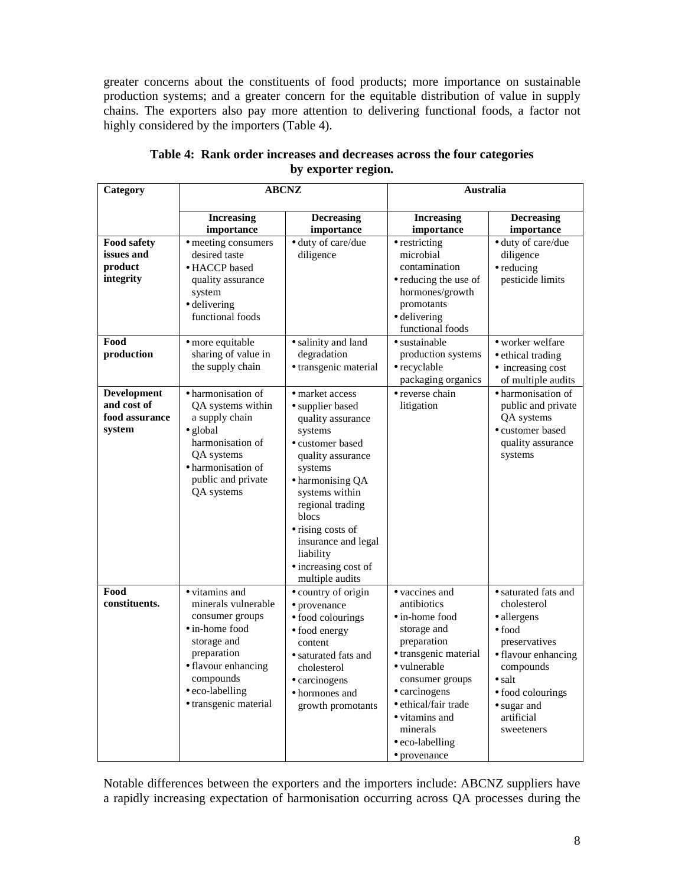greater concerns about the constituents of food products; more importance on sustainable production systems; and a greater concern for the equitable distribution of value in supply chains. The exporters also pay more attention to delivering functional foods, a factor not highly considered by the importers (Table 4).

| Category                                                      | <b>ABCNZ</b>                                                                                                                                                                                     |                                                                                                                                                                                                                                                                                                | <b>Australia</b>                                                                                                                                                                                                                                    |                                                                                                                                                                                                                     |
|---------------------------------------------------------------|--------------------------------------------------------------------------------------------------------------------------------------------------------------------------------------------------|------------------------------------------------------------------------------------------------------------------------------------------------------------------------------------------------------------------------------------------------------------------------------------------------|-----------------------------------------------------------------------------------------------------------------------------------------------------------------------------------------------------------------------------------------------------|---------------------------------------------------------------------------------------------------------------------------------------------------------------------------------------------------------------------|
|                                                               | <b>Increasing</b><br>importance                                                                                                                                                                  | <b>Decreasing</b><br>importance                                                                                                                                                                                                                                                                | <b>Increasing</b><br>importance                                                                                                                                                                                                                     | <b>Decreasing</b><br>importance                                                                                                                                                                                     |
| <b>Food safety</b><br>issues and<br>product<br>integrity      | • meeting consumers<br>desired taste<br>• HACCP based<br>quality assurance<br>system<br>· delivering<br>functional foods                                                                         | · duty of care/due<br>diligence                                                                                                                                                                                                                                                                | • restricting<br>microbial<br>contamination<br>• reducing the use of<br>hormones/growth<br>promotants<br>$\bullet$ delivering<br>functional foods                                                                                                   | · duty of care/due<br>diligence<br>$\bullet$ reducing<br>pesticide limits                                                                                                                                           |
| Food<br>production                                            | · more equitable<br>sharing of value in<br>the supply chain                                                                                                                                      | · salinity and land<br>degradation<br>· transgenic material                                                                                                                                                                                                                                    | · sustainable<br>production systems<br>· recyclable<br>packaging organics                                                                                                                                                                           | • worker welfare<br>• ethical trading<br>• increasing cost<br>of multiple audits                                                                                                                                    |
| <b>Development</b><br>and cost of<br>food assurance<br>system | · harmonisation of<br>QA systems within<br>a supply chain<br>$\bullet$ global<br>harmonisation of<br>QA systems<br>· harmonisation of<br>public and private<br>QA systems                        | • market access<br>• supplier based<br>quality assurance<br>systems<br>• customer based<br>quality assurance<br>systems<br>• harmonising QA<br>systems within<br>regional trading<br>blocs<br>• rising costs of<br>insurance and legal<br>liability<br>· increasing cost of<br>multiple audits | · reverse chain<br>litigation                                                                                                                                                                                                                       | · harmonisation of<br>public and private<br>QA systems<br>· customer based<br>quality assurance<br>systems                                                                                                          |
| Food<br>constituents.                                         | • vitamins and<br>minerals vulnerable<br>consumer groups<br>$\bullet$ in-home food<br>storage and<br>preparation<br>• flavour enhancing<br>compounds<br>• eco-labelling<br>· transgenic material | · country of origin<br>· provenance<br>· food colourings<br>• food energy<br>content<br>• saturated fats and<br>cholesterol<br>• carcinogens<br>• hormones and<br>growth promotants                                                                                                            | • vaccines and<br>antibiotics<br>• in-home food<br>storage and<br>preparation<br>· transgenic material<br>· vulnerable<br>consumer groups<br>• carcinogens<br>· ethical/fair trade<br>• vitamins and<br>minerals<br>• eco-labelling<br>· provenance | $\bullet$ saturated fats and<br>cholesterol<br>· allergens<br>$\bullet$ food<br>preservatives<br>• flavour enhancing<br>compounds<br>$\bullet$ salt<br>· food colourings<br>• sugar and<br>artificial<br>sweeteners |

**Table 4: Rank order increases and decreases across the four categories by exporter region.** 

Notable differences between the exporters and the importers include: ABCNZ suppliers have a rapidly increasing expectation of harmonisation occurring across QA processes during the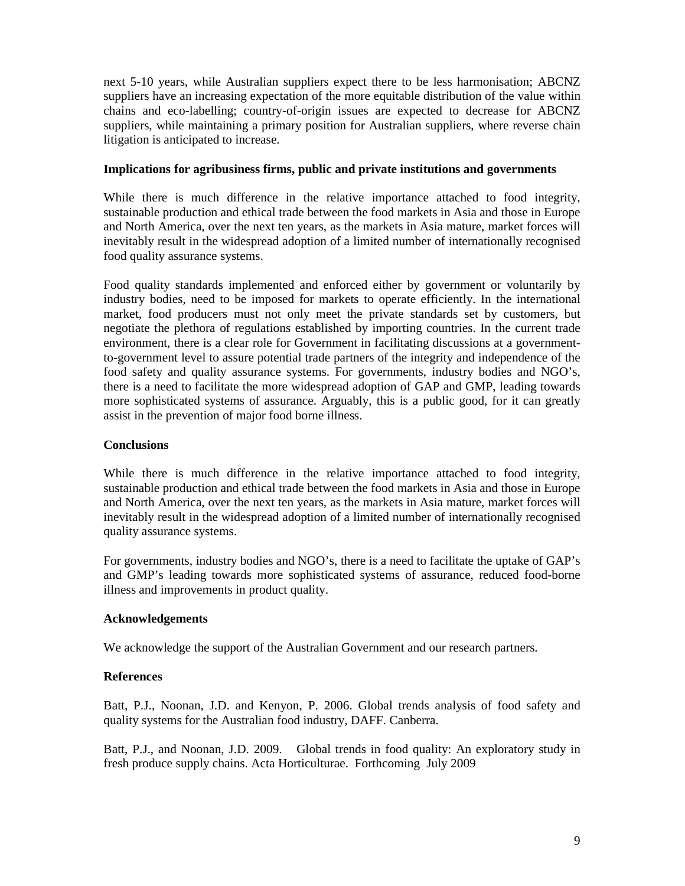next 5-10 years, while Australian suppliers expect there to be less harmonisation; ABCNZ suppliers have an increasing expectation of the more equitable distribution of the value within chains and eco-labelling; country-of-origin issues are expected to decrease for ABCNZ suppliers, while maintaining a primary position for Australian suppliers, where reverse chain litigation is anticipated to increase.

## **Implications for agribusiness firms, public and private institutions and governments**

While there is much difference in the relative importance attached to food integrity, sustainable production and ethical trade between the food markets in Asia and those in Europe and North America, over the next ten years, as the markets in Asia mature, market forces will inevitably result in the widespread adoption of a limited number of internationally recognised food quality assurance systems.

Food quality standards implemented and enforced either by government or voluntarily by industry bodies, need to be imposed for markets to operate efficiently. In the international market, food producers must not only meet the private standards set by customers, but negotiate the plethora of regulations established by importing countries. In the current trade environment, there is a clear role for Government in facilitating discussions at a governmentto-government level to assure potential trade partners of the integrity and independence of the food safety and quality assurance systems. For governments, industry bodies and NGO's, there is a need to facilitate the more widespread adoption of GAP and GMP, leading towards more sophisticated systems of assurance. Arguably, this is a public good, for it can greatly assist in the prevention of major food borne illness.

## **Conclusions**

While there is much difference in the relative importance attached to food integrity, sustainable production and ethical trade between the food markets in Asia and those in Europe and North America, over the next ten years, as the markets in Asia mature, market forces will inevitably result in the widespread adoption of a limited number of internationally recognised quality assurance systems.

For governments, industry bodies and NGO's, there is a need to facilitate the uptake of GAP's and GMP's leading towards more sophisticated systems of assurance, reduced food-borne illness and improvements in product quality.

#### **Acknowledgements**

We acknowledge the support of the Australian Government and our research partners.

# **References**

Batt, P.J., Noonan, J.D. and Kenyon, P. 2006. Global trends analysis of food safety and quality systems for the Australian food industry, DAFF. Canberra.

Batt, P.J., and Noonan, J.D. 2009. Global trends in food quality: An exploratory study in fresh produce supply chains. Acta Horticulturae. Forthcoming July 2009